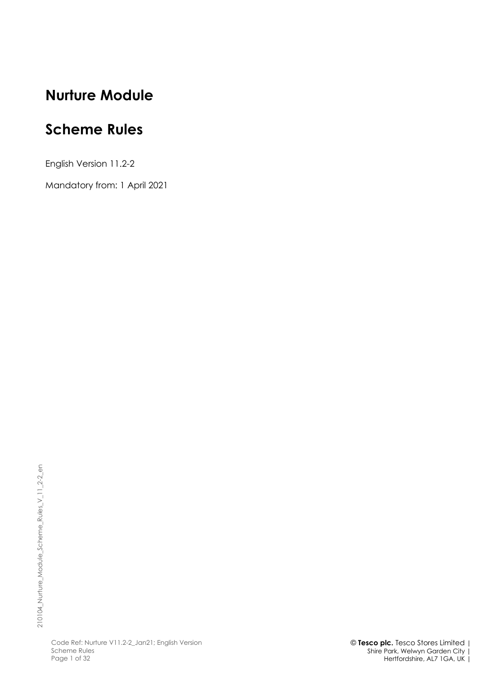# **Nurture Module**

# **Scheme Rules**

English Version 11.2-2

Mandatory from: 1 April 2021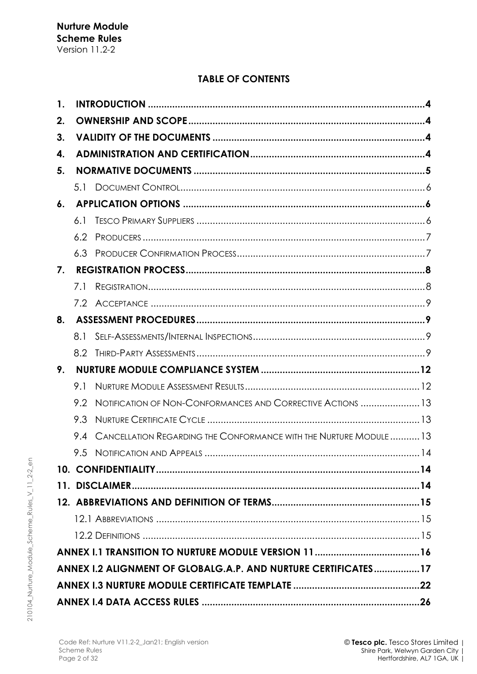# **TABLE OF CONTENTS**

| 1. |     |                                                                    |  |  |  |
|----|-----|--------------------------------------------------------------------|--|--|--|
| 2. |     |                                                                    |  |  |  |
| 3. |     |                                                                    |  |  |  |
| 4. |     |                                                                    |  |  |  |
| 5. |     |                                                                    |  |  |  |
|    |     |                                                                    |  |  |  |
| 6. |     |                                                                    |  |  |  |
|    | 6.1 |                                                                    |  |  |  |
|    | 6.2 |                                                                    |  |  |  |
|    |     |                                                                    |  |  |  |
| 7. |     |                                                                    |  |  |  |
|    | 7.1 |                                                                    |  |  |  |
|    |     |                                                                    |  |  |  |
| 8. |     |                                                                    |  |  |  |
|    | 8.1 |                                                                    |  |  |  |
|    |     |                                                                    |  |  |  |
| 9. |     |                                                                    |  |  |  |
|    | 9.1 |                                                                    |  |  |  |
|    | 9.2 | NOTIFICATION OF NON-CONFORMANCES AND CORRECTIVE ACTIONS 13         |  |  |  |
|    | 9.3 |                                                                    |  |  |  |
|    | 9.4 | CANCELLATION REGARDING THE CONFORMANCE WITH THE NURTURE MODULE  13 |  |  |  |
|    | 9.5 |                                                                    |  |  |  |
|    |     |                                                                    |  |  |  |
|    |     |                                                                    |  |  |  |
|    |     |                                                                    |  |  |  |
|    |     |                                                                    |  |  |  |
|    |     |                                                                    |  |  |  |
|    |     |                                                                    |  |  |  |
|    |     | ANNEX 1.2 ALIGNMENT OF GLOBALG.A.P. AND NURTURE CERTIFICATES17     |  |  |  |
|    |     |                                                                    |  |  |  |
|    |     |                                                                    |  |  |  |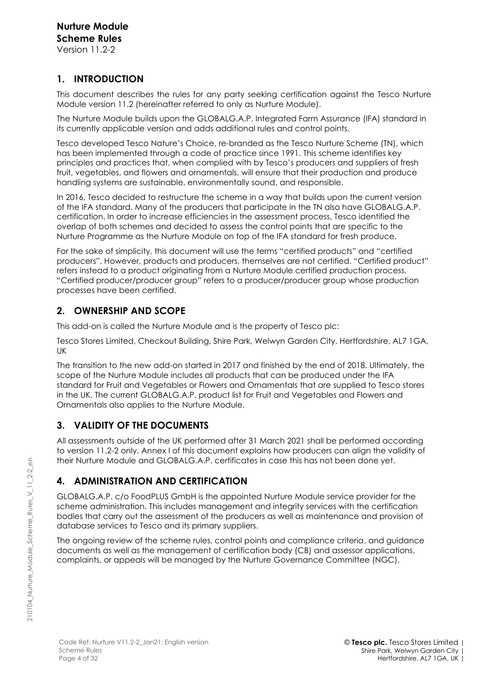# **1. INTRODUCTION**

This document describes the rules for any party seeking certification against the Tesco Nurture Module version 11.2 (hereinafter referred to only as Nurture Module).

The Nurture Module builds upon the GLOBALG.A.P. Integrated Farm Assurance (IFA) standard in its currently applicable version and adds additional rules and control points.

Tesco developed Tesco Nature's Choice, re-branded as the Tesco Nurture Scheme (TN), which has been implemented through a code of practice since 1991. This scheme identifies key principles and practices that, when complied with by Tesco's producers and suppliers of fresh fruit, vegetables, and flowers and ornamentals, will ensure that their production and produce handling systems are sustainable, environmentally sound, and responsible.

In 2016, Tesco decided to restructure the scheme in a way that builds upon the current version of the IFA standard. Many of the producers that participate in the TN also have GLOBALG.A.P. certification. In order to increase efficiencies in the assessment process, Tesco identified the overlap of both schemes and decided to assess the control points that are specific to the Nurture Programme as the Nurture Module on top of the IFA standard for fresh produce.

For the sake of simplicity, this document will use the terms "certified products" and "certified producers". However, products and producers, themselves are not certified. "Certified product" refers instead to a product originating from a Nurture Module certified production process. "Certified producer/producer group" refers to a producer/producer group whose production processes have been certified.

# **2. OWNERSHIP AND SCOPE**

This add-on is called the Nurture Module and is the property of Tesco plc:

Tesco Stores Limited, Checkout Building, Shire Park, Welwyn Garden City, Hertfordshire, AL7 1GA, UK

The transition to the new add-on started in 2017 and finished by the end of 2018. Ultimately, the scope of the Nurture Module includes all products that can be produced under the IFA standard for Fruit and Vegetables or Flowers and Ornamentals that are supplied to Tesco stores in the UK. The current GLOBALG.A.P. product list for Fruit and Vegetables and Flowers and Ornamentals also applies to the Nurture Module.

# **3. VALIDITY OF THE DOCUMENTS**

All assessments outside of the UK performed after 31 March 2021 shall be performed according to version 11.2-2 only. Annex I of this document explains how producers can align the validity of their Nurture Module and GLOBALG.A.P. certificates in case this has not been done yet.

# **4. ADMINISTRATION AND CERTIFICATION**

GLOBALG.A.P. c/o FoodPLUS GmbH is the appointed Nurture Module service provider for the scheme administration. This includes management and integrity services with the certification bodies that carry out the assessment of the producers as well as maintenance and provision of database services to Tesco and its primary suppliers.

The ongoing review of the scheme rules, control points and compliance criteria, and guidance documents as well as the management of certification body (CB) and assessor applications, complaints, or appeals will be managed by the Nurture Governance Committee (NGC).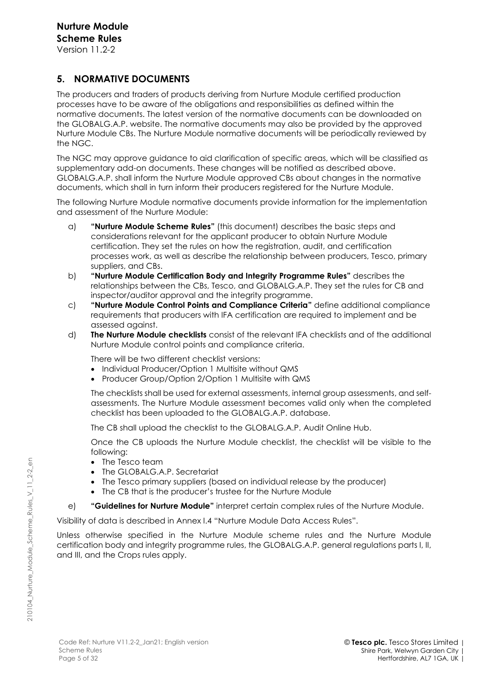# **5. NORMATIVE DOCUMENTS**

The producers and traders of products deriving from Nurture Module certified production processes have to be aware of the obligations and responsibilities as defined within the normative documents. The latest version of the normative documents can be downloaded on the GLOBALG.A.P. website. The normative documents may also be provided by the approved Nurture Module CBs. The Nurture Module normative documents will be periodically reviewed by the NGC.

The NGC may approve guidance to aid clarification of specific areas, which will be classified as supplementary add-on documents. These changes will be notified as described above. GLOBALG.A.P. shall inform the Nurture Module approved CBs about changes in the normative documents, which shall in turn inform their producers registered for the Nurture Module.

The following Nurture Module normative documents provide information for the implementation and assessment of the Nurture Module:

- a) **"Nurture Module Scheme Rules"** (this document) describes the basic steps and considerations relevant for the applicant producer to obtain Nurture Module certification. They set the rules on how the registration, audit, and certification processes work, as well as describe the relationship between producers, Tesco, primary suppliers, and CBs.
- b) **"Nurture Module Certification Body and Integrity Programme Rules"** describes the relationships between the CBs, Tesco, and GLOBALG.A.P. They set the rules for CB and inspector/auditor approval and the integrity programme.
- c) **"Nurture Module Control Points and Compliance Criteria"** define additional compliance requirements that producers with IFA certification are required to implement and be assessed against.
- d) **The Nurture Module checklists** consist of the relevant IFA checklists and of the additional Nurture Module control points and compliance criteria.

There will be two different checklist versions:

- Individual Producer/Option 1 Multisite without QMS
- Producer Group/Option 2/Option 1 Multisite with QMS

The checklists shall be used for external assessments, internal group assessments, and selfassessments. The Nurture Module assessment becomes valid only when the completed checklist has been uploaded to the GLOBALG.A.P. database.

The CB shall upload the checklist to the GLOBALG.A.P. Audit Online Hub.

Once the CB uploads the Nurture Module checklist, the checklist will be visible to the following:

- The Tesco team
- The GLOBALG.A.P. Secretariat
- The Tesco primary suppliers (based on individual release by the producer)
- The CB that is the producer's trustee for the Nurture Module

e) **"Guidelines for Nurture Module"** interpret certain complex rules of the Nurture Module.

Visibility of data is described in Annex I.4 "Nurture Module Data Access Rules".

Unless otherwise specified in the Nurture Module scheme rules and the Nurture Module certification body and integrity programme rules, the GLOBALG.A.P. general regulations parts I, II, and III, and the Crops rules apply.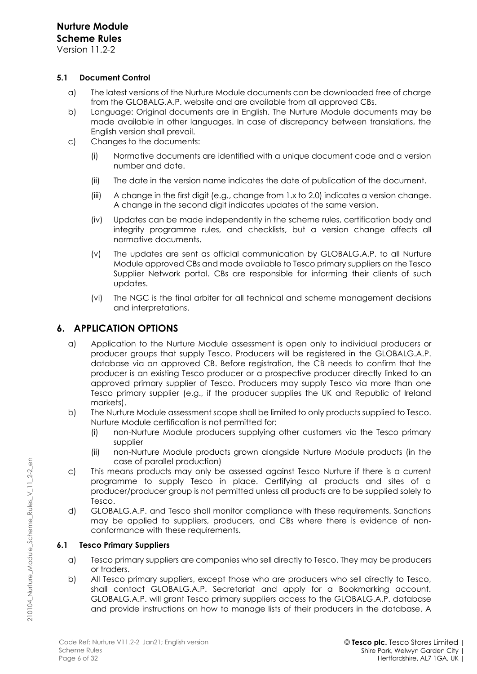Version 11.2-2

# **5.1 Document Control**

- a) The latest versions of the Nurture Module documents can be downloaded free of charge from the GLOBALG.A.P. website and are available from all approved CBs.
- b) Language: Original documents are in English. The Nurture Module documents may be made available in other languages. In case of discrepancy between translations, the English version shall prevail.
- c) Changes to the documents:
	- (i) Normative documents are identified with a unique document code and a version number and date.
	- (ii) The date in the version name indicates the date of publication of the document.
	- (iii) A change in the first digit (e.g., change from 1.x to 2.0) indicates a version change. A change in the second digit indicates updates of the same version.
	- (iv) Updates can be made independently in the scheme rules, certification body and integrity programme rules, and checklists, but a version change affects all normative documents.
	- (v) The updates are sent as official communication by GLOBALG.A.P. to all Nurture Module approved CBs and made available to Tesco primary suppliers on the Tesco Supplier Network portal. CBs are responsible for informing their clients of such updates.
	- (vi) The NGC is the final arbiter for all technical and scheme management decisions and interpretations.

# **6. APPLICATION OPTIONS**

- a) Application to the Nurture Module assessment is open only to individual producers or producer groups that supply Tesco. Producers will be registered in the GLOBALG.A.P. database via an approved CB. Before registration, the CB needs to confirm that the producer is an existing Tesco producer or a prospective producer directly linked to an approved primary supplier of Tesco. Producers may supply Tesco via more than one Tesco primary supplier (e.g., if the producer supplies the UK and Republic of Ireland markets).
- b) The Nurture Module assessment scope shall be limited to only products supplied to Tesco. Nurture Module certification is not permitted for:
	- (i) non-Nurture Module producers supplying other customers via the Tesco primary supplier
	- (ii) non-Nurture Module products grown alongside Nurture Module products (in the case of parallel production)
- c) This means products may only be assessed against Tesco Nurture if there is a current programme to supply Tesco in place. Certifying all products and sites of a producer/producer group is not permitted unless all products are to be supplied solely to Tesco.
- d) GLOBALG.A.P. and Tesco shall monitor compliance with these requirements. Sanctions may be applied to suppliers, producers, and CBs where there is evidence of nonconformance with these requirements.

# **6.1 Tesco Primary Suppliers**

- a) Tesco primary suppliers are companies who sell directly to Tesco. They may be producers or traders.
- b) All Tesco primary suppliers, except those who are producers who sell directly to Tesco, shall contact GLOBALG.A.P. Secretariat and apply for a Bookmarking account. GLOBALG.A.P. will grant Tesco primary suppliers access to the GLOBALG.A.P. database and provide instructions on how to manage lists of their producers in the database. A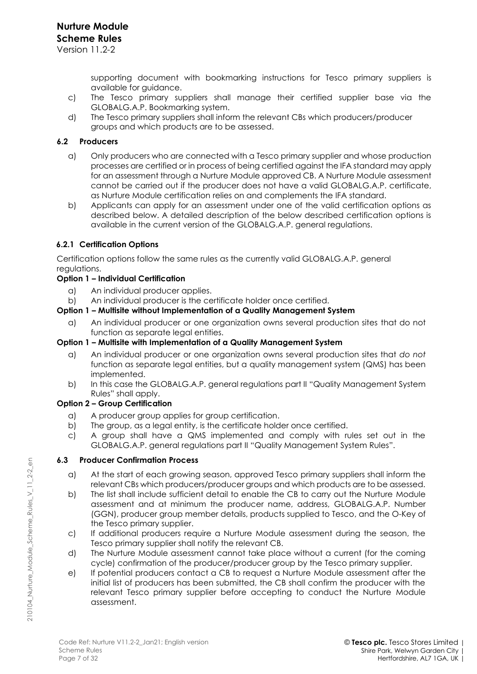supporting document with bookmarking instructions for Tesco primary suppliers is available for guidance.

- c) The Tesco primary suppliers shall manage their certified supplier base via the GLOBALG.A.P. Bookmarking system.
- d) The Tesco primary suppliers shall inform the relevant CBs which producers/producer groups and which products are to be assessed.

### **6.2 Producers**

- a) Only producers who are connected with a Tesco primary supplier and whose production processes are certified or in process of being certified against the IFA standard may apply for an assessment through a Nurture Module approved CB. A Nurture Module assessment cannot be carried out if the producer does not have a valid GLOBALG.A.P. certificate, as Nurture Module certification relies on and complements the IFA standard.
- b) Applicants can apply for an assessment under one of the valid certification options as described below. A detailed description of the below described certification options is available in the current version of the GLOBALG.A.P. general regulations.

# **6.2.1 Certification Options**

Certification options follow the same rules as the currently valid GLOBALG.A.P. general regulations.

### **Option 1 – Individual Certification**

- a) An individual producer applies.
- b) An individual producer is the certificate holder once certified.

### **Option 1 – Multisite without Implementation of a Quality Management System**

a) An individual producer or one organization owns several production sites that do not function as separate legal entities.

### **Option 1 – Multisite with Implementation of a Quality Management System**

- a) An individual producer or one organization owns several production sites that *do not* function as separate legal entities, but a quality management system (QMS) has been implemented.
- b) In this case the GLOBALG.A.P. general regulations part II "Quality Management System Rules" shall apply.

### **Option 2 – Group Certification**

- a) A producer group applies for group certification.
- b) The group, as a legal entity, is the certificate holder once certified.
- c) A group shall have a QMS implemented and comply with rules set out in the GLOBALG.A.P. general regulations part II "Quality Management System Rules".

#### **6.3 Producer Confirmation Process**

- a) At the start of each growing season, approved Tesco primary suppliers shall inform the relevant CBs which producers/producer groups and which products are to be assessed.
- b) The list shall include sufficient detail to enable the CB to carry out the Nurture Module assessment and at minimum the producer name, address, GLOBALG.A.P. Number (GGN), producer group member details, products supplied to Tesco, and the O-Key of the Tesco primary supplier.
- c) If additional producers require a Nurture Module assessment during the season, the Tesco primary supplier shall notify the relevant CB.
- d) The Nurture Module assessment cannot take place without a current (for the coming cycle) confirmation of the producer/producer group by the Tesco primary supplier.
- e) If potential producers contact a CB to request a Nurture Module assessment after the initial list of producers has been submitted, the CB shall confirm the producer with the relevant Tesco primary supplier before accepting to conduct the Nurture Module assessment.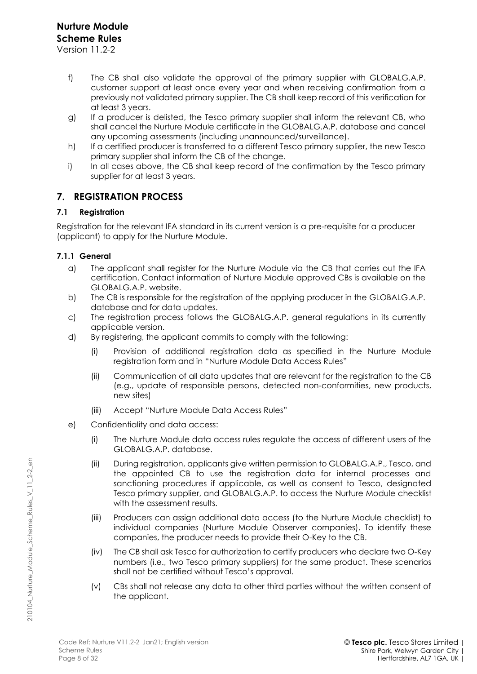Version 11.2-2

- f) The CB shall also validate the approval of the primary supplier with GLOBALG.A.P. customer support at least once every year and when receiving confirmation from a previously not validated primary supplier. The CB shall keep record of this verification for at least 3 years.
- g) If a producer is delisted, the Tesco primary supplier shall inform the relevant CB, who shall cancel the Nurture Module certificate in the GLOBALG.A.P. database and cancel any upcoming assessments (including unannounced/surveillance).
- h) If a certified producer is transferred to a different Tesco primary supplier, the new Tesco primary supplier shall inform the CB of the change.
- i) In all cases above, the CB shall keep record of the confirmation by the Tesco primary supplier for at least 3 years.

# **7. REGISTRATION PROCESS**

### **7.1 Registration**

Registration for the relevant IFA standard in its current version is a pre-requisite for a producer (applicant) to apply for the Nurture Module.

### **7.1.1 General**

- a) The applicant shall register for the Nurture Module via the CB that carries out the IFA certification. Contact information of Nurture Module approved CBs is available on the GLOBALG.A.P. website.
- b) The CB is responsible for the registration of the applying producer in the GLOBALG.A.P. database and for data updates.
- c) The registration process follows the GLOBALG.A.P. general regulations in its currently applicable version.
- d) By registering, the applicant commits to comply with the following:
	- (i) Provision of additional registration data as specified in the Nurture Module registration form and in "Nurture Module Data Access Rules"
	- (ii) Communication of all data updates that are relevant for the registration to the CB (e.g., update of responsible persons, detected non-conformities, new products, new sites)
	- (iii) Accept "Nurture Module Data Access Rules"
- e) Confidentiality and data access:
	- (i) The Nurture Module data access rules regulate the access of different users of the GLOBALG.A.P. database.
	- (ii) During registration, applicants give written permission to GLOBALG.A.P., Tesco, and the appointed CB to use the registration data for internal processes and sanctioning procedures if applicable, as well as consent to Tesco, designated Tesco primary supplier, and GLOBALG.A.P. to access the Nurture Module checklist with the assessment results.
	- (iii) Producers can assign additional data access (to the Nurture Module checklist) to individual companies (Nurture Module Observer companies). To identify these companies, the producer needs to provide their O-Key to the CB.
	- (iv) The CB shall ask Tesco for authorization to certify producers who declare two O-Key numbers (i.e., two Tesco primary suppliers) for the same product. These scenarios shall not be certified without Tesco's approval.
	- (v) CBs shall not release any data to other third parties without the written consent of the applicant.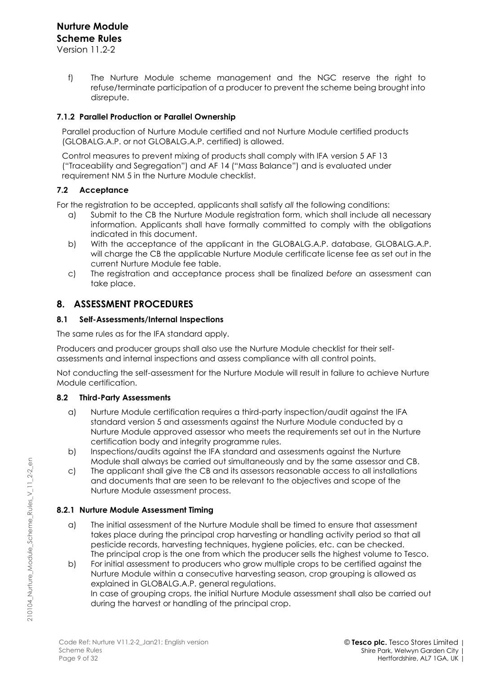Version 11.2-2

f) The Nurture Module scheme management and the NGC reserve the right to refuse/terminate participation of a producer to prevent the scheme being brought into disrepute.

### **7.1.2 Parallel Production or Parallel Ownership**

Parallel production of Nurture Module certified and not Nurture Module certified products (GLOBALG.A.P. or not GLOBALG.A.P. certified) is allowed.

Control measures to prevent mixing of products shall comply with IFA version 5 AF 13 ("Traceability and Segregation") and AF 14 ("Mass Balance") and is evaluated under requirement NM 5 in the Nurture Module checklist.

# **7.2 Acceptance**

For the registration to be accepted, applicants shall satisfy *all* the following conditions:

- a) Submit to the CB the Nurture Module registration form, which shall include all necessary information. Applicants shall have formally committed to comply with the obligations indicated in this document.
- b) With the acceptance of the applicant in the GLOBALG.A.P. database, GLOBALG.A.P. will charge the CB the applicable Nurture Module certificate license fee as set out in the current Nurture Module fee table.
- c) The registration and acceptance process shall be finalized *before* an assessment can take place.

# **8. ASSESSMENT PROCEDURES**

### **8.1 Self-Assessments/Internal Inspections**

The same rules as for the IFA standard apply.

Producers and producer groups shall also use the Nurture Module checklist for their selfassessments and internal inspections and assess compliance with all control points.

Not conducting the self-assessment for the Nurture Module will result in failure to achieve Nurture Module certification.

### **8.2 Third-Party Assessments**

- a) Nurture Module certification requires a third-party inspection/audit against the IFA standard version 5 and assessments against the Nurture Module conducted by a Nurture Module approved assessor who meets the requirements set out in the Nurture certification body and integrity programme rules.
- b) Inspections/audits against the IFA standard and assessments against the Nurture Module shall always be carried out simultaneously and by the same assessor and CB.
- c) The applicant shall give the CB and its assessors reasonable access to all installations and documents that are seen to be relevant to the objectives and scope of the Nurture Module assessment process.

# **8.2.1 Nurture Module Assessment Timing**

- a) The initial assessment of the Nurture Module shall be timed to ensure that assessment takes place during the principal crop harvesting or handling activity period so that all pesticide records, harvesting techniques, hygiene policies, etc. can be checked. The principal crop is the one from which the producer sells the highest volume to Tesco.
- b) For initial assessment to producers who grow multiple crops to be certified against the Nurture Module within a consecutive harvesting season, crop grouping is allowed as explained in GLOBALG.A.P. general regulations. In case of grouping crops, the initial Nurture Module assessment shall also be carried out during the harvest or handling of the principal crop.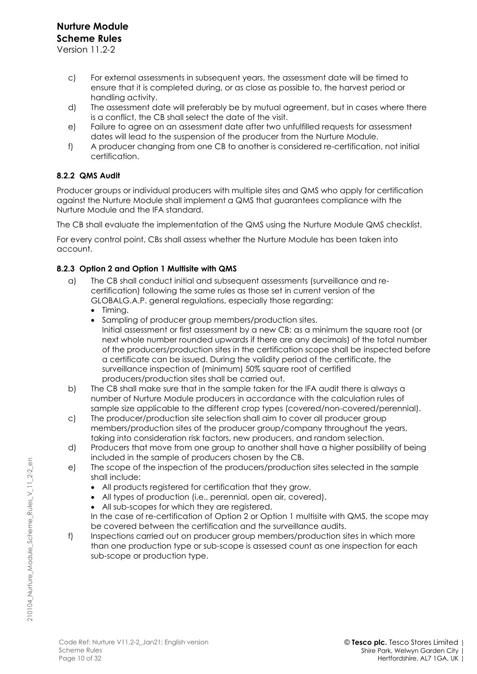- c) For external assessments in subsequent years, the assessment date will be timed to ensure that it is completed during, or as close as possible to, the harvest period or handling activity.
- d) The assessment date will preferably be by mutual agreement, but in cases where there is a conflict, the CB shall select the date of the visit.
- e) Failure to agree on an assessment date after two unfulfilled requests for assessment dates will lead to the suspension of the producer from the Nurture Module.
- f) A producer changing from one CB to another is considered re-certification, not initial certification.

# **8.2.2 QMS Audit**

Producer groups or individual producers with multiple sites and QMS who apply for certification against the Nurture Module shall implement a QMS that guarantees compliance with the Nurture Module and the IFA standard.

The CB shall evaluate the implementation of the QMS using the Nurture Module QMS checklist.

For every control point, CBs shall assess whether the Nurture Module has been taken into account.

# **8.2.3 Option 2 and Option 1 Multisite with QMS**

- a) The CB shall conduct initial and subsequent assessments (surveillance and recertification) following the same rules as those set in current version of the GLOBALG.A.P. general regulations, especially those regarding:
	- Timing.
	- Sampling of producer group members/production sites. Initial assessment or first assessment by a new CB: as a minimum the square root (or next whole number rounded upwards if there are any decimals) of the total number of the producers/production sites in the certification scope shall be inspected before a certificate can be issued. During the validity period of the certificate, the surveillance inspection of (minimum) 50% square root of certified producers/production sites shall be carried out.
- b) The CB shall make sure that in the sample taken for the IFA audit there is always a number of Nurture Module producers in accordance with the calculation rules of sample size applicable to the different crop types (covered/non-covered/perennial).
- c) The producer/production site selection shall aim to cover all producer group members/production sites of the producer group/company throughout the years, taking into consideration risk factors, new producers, and random selection.
- d) Producers that move from one group to another shall have a higher possibility of being included in the sample of producers chosen by the CB.
- e) The scope of the inspection of the producers/production sites selected in the sample shall include:
	- All products registered for certification that they grow.
	- All types of production (i.e., perennial, open air, covered).
	- All sub-scopes for which they are registered.
	- In the case of re-certification of Option 2 or Option 1 multisite with QMS, the scope may be covered between the certification and the surveillance audits.
- f) Inspections carried out on producer group members/production sites in which more than one production type or sub-scope is assessed count as one inspection for each sub-scope or production type.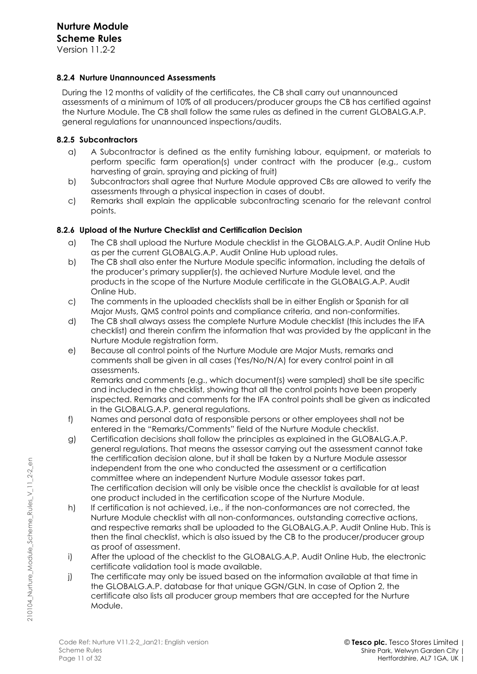Version 11.2-2

### **8.2.4 Nurture Unannounced Assessments**

During the 12 months of validity of the certificates, the CB shall carry out unannounced assessments of a minimum of 10% of all producers/producer groups the CB has certified against the Nurture Module. The CB shall follow the same rules as defined in the current GLOBALG.A.P. general regulations for unannounced inspections/audits.

#### **8.2.5 Subcontractors**

- a) A Subcontractor is defined as the entity furnishing labour, equipment, or materials to perform specific farm operation(s) under contract with the producer (e.g., custom harvesting of grain, spraying and picking of fruit)
- b) Subcontractors shall agree that Nurture Module approved CBs are allowed to verify the assessments through a physical inspection in cases of doubt.
- c) Remarks shall explain the applicable subcontracting scenario for the relevant control points.

### **8.2.6 Upload of the Nurture Checklist and Certification Decision**

- a) The CB shall upload the Nurture Module checklist in the GLOBALG.A.P. Audit Online Hub as per the current GLOBALG.A.P. Audit Online Hub upload rules.
- b) The CB shall also enter the Nurture Module specific information, including the details of the producer's primary supplier(s), the achieved Nurture Module level, and the products in the scope of the Nurture Module certificate in the GLOBALG.A.P. Audit Online Hub.
- c) The comments in the uploaded checklists shall be in either English or Spanish for all Major Musts, QMS control points and compliance criteria, and non-conformities.
- d) The CB shall always assess the complete Nurture Module checklist (this includes the IFA checklist) and therein confirm the information that was provided by the applicant in the Nurture Module registration form.
- e) Because all control points of the Nurture Module are Major Musts, remarks and comments shall be given in all cases (Yes/No/N/A) for every control point in all assessments.

Remarks and comments (e.g., which document(s) were sampled) shall be site specific and included in the checklist, showing that all the control points have been properly inspected. Remarks and comments for the IFA control points shall be given as indicated in the GLOBALG.A.P. general regulations.

- f) Names and personal data of responsible persons or other employees shall not be entered in the "Remarks/Comments" field of the Nurture Module checklist.
- g) Certification decisions shall follow the principles as explained in the GLOBALG.A.P. general regulations. That means the assessor carrying out the assessment cannot take the certification decision alone, but it shall be taken by a Nurture Module assessor independent from the one who conducted the assessment or a certification committee where an independent Nurture Module assessor takes part. The certification decision will only be visible once the checklist is available for at least one product included in the certification scope of the Nurture Module.
- h) If certification is not achieved, i.e., if the non-conformances are not corrected, the Nurture Module checklist with all non-conformances, outstanding corrective actions, and respective remarks shall be uploaded to the GLOBALG.A.P. Audit Online Hub. This is then the final checklist, which is also issued by the CB to the producer/producer group as proof of assessment.
- i) After the upload of the checklist to the GLOBALG.A.P. Audit Online Hub, the electronic certificate validation tool is made available.
- j) The certificate may only be issued based on the information available at that time in the GLOBALG.A.P. database for that unique GGN/GLN. In case of Option 2, the certificate also lists all producer group members that are accepted for the Nurture Module.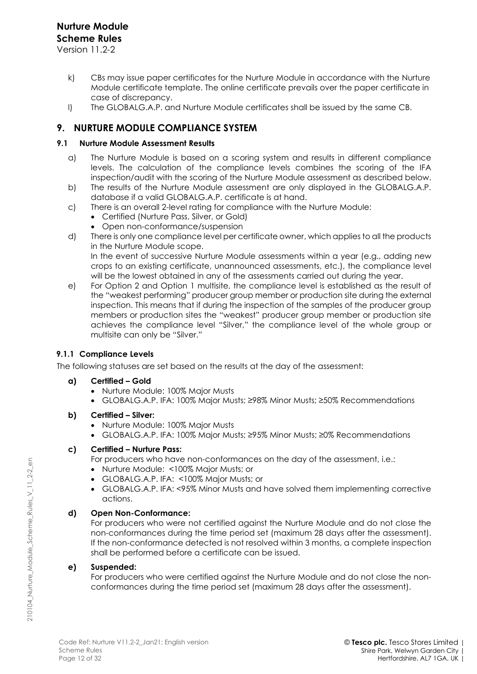Version 11.2-2

- k) CBs may issue paper certificates for the Nurture Module in accordance with the Nurture Module certificate template. The online certificate prevails over the paper certificate in case of discrepancy.
- l) The GLOBALG.A.P. and Nurture Module certificates shall be issued by the same CB.

# **9. NURTURE MODULE COMPLIANCE SYSTEM**

# **9.1 Nurture Module Assessment Results**

- a) The Nurture Module is based on a scoring system and results in different compliance levels. The calculation of the compliance levels combines the scoring of the IFA inspection/audit with the scoring of the Nurture Module assessment as described below.
- b) The results of the Nurture Module assessment are only displayed in the GLOBALG.A.P. database if a valid GLOBALG.A.P. certificate is at hand.
- c) There is an overall 2-level rating for compliance with the Nurture Module:
	- Certified (Nurture Pass, Silver, or Gold)
	- Open non-conformance/suspension
- d) There is only one compliance level per certificate owner, which applies to all the products in the Nurture Module scope. In the event of successive Nurture Module assessments within a year (e.g., adding new

crops to an existing certificate, unannounced assessments, etc.), the compliance level will be the lowest obtained in any of the assessments carried out during the year.

e) For Option 2 and Option 1 multisite, the compliance level is established as the result of the "weakest performing" producer group member or production site during the external inspection. This means that if during the inspection of the samples of the producer group members or production sites the "weakest" producer group member or production site achieves the compliance level "Silver," the compliance level of the whole group or multisite can only be "Silver."

# **9.1.1 Compliance Levels**

The following statuses are set based on the results at the day of the assessment:

- **a) Certified – Gold**
	- Nurture Module: 100% Major Musts
	- GLOBALG.A.P. IFA: 100% Major Musts; ≥98% Minor Musts; ≥50% Recommendations
- **b) Certified – Silver:** 
	- Nurture Module: 100% Major Musts
	- GLOBALG.A.P. IFA: 100% Major Musts; ≥95% Minor Musts; ≥0% Recommendations

# **c) Certified – Nurture Pass:**

- For producers who have non-conformances on the day of the assessment, i.e.:
- Nurture Module: <100% Major Musts; or
- GLOBALG.A.P. IFA: <100% Major Musts; or
- GLOBALG.A.P. IFA: <95% Minor Musts and have solved them implementing corrective actions.

# **d) Open Non-Conformance:**

For producers who were not certified against the Nurture Module and do not close the non-conformances during the time period set (maximum 28 days after the assessment). If the non-conformance detected is not resolved within 3 months, a complete inspection shall be performed before a certificate can be issued.

# **e) Suspended:**

For producers who were certified against the Nurture Module and do not close the nonconformances during the time period set (maximum 28 days after the assessment).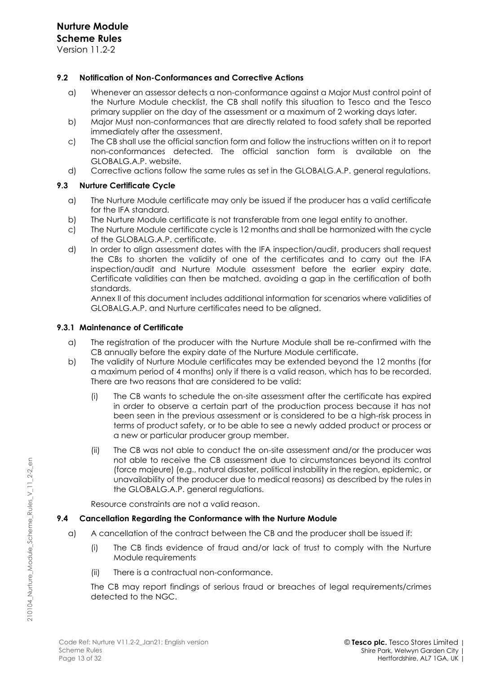Version 11.2-2

#### **9.2 Notification of Non-Conformances and Corrective Actions**

- a) Whenever an assessor detects a non-conformance against a Major Must control point of the Nurture Module checklist, the CB shall notify this situation to Tesco and the Tesco primary supplier on the day of the assessment or a maximum of 2 working days later.
- b) Major Must non-conformances that are directly related to food safety shall be reported immediately after the assessment.
- c) The CB shall use the official sanction form and follow the instructions written on it to report non-conformances detected. The official sanction form is available on the GLOBALG.A.P. website.
- d) Corrective actions follow the same rules as set in the GLOBALG.A.P. general regulations.

### **9.3 Nurture Certificate Cycle**

- a) The Nurture Module certificate may only be issued if the producer has a valid certificate for the IFA standard.
- b) The Nurture Module certificate is not transferable from one legal entity to another.
- c) The Nurture Module certificate cycle is 12 months and shall be harmonized with the cycle of the GLOBALG.A.P. certificate.
- d) In order to align assessment dates with the IFA inspection/audit, producers shall request the CBs to shorten the validity of one of the certificates and to carry out the IFA inspection/audit and Nurture Module assessment before the earlier expiry date. Certificate validities can then be matched, avoiding a gap in the certification of both standards.

Annex II of this document includes additional information for scenarios where validities of GLOBALG.A.P. and Nurture certificates need to be aligned.

#### **9.3.1 Maintenance of Certificate**

- a) The registration of the producer with the Nurture Module shall be re-confirmed with the CB annually before the expiry date of the Nurture Module certificate.
- b) The validity of Nurture Module certificates may be extended beyond the 12 months (for a maximum period of 4 months) only if there is a valid reason, which has to be recorded. There are two reasons that are considered to be valid:
	- (i) The CB wants to schedule the on-site assessment after the certificate has expired in order to observe a certain part of the production process because it has not been seen in the previous assessment or is considered to be a high-risk process in terms of product safety, or to be able to see a newly added product or process or a new or particular producer group member.
	- (ii) The CB was not able to conduct the on-site assessment and/or the producer was not able to receive the CB assessment due to circumstances beyond its control (force majeure) (e.g., natural disaster, political instability in the region, epidemic, or unavailability of the producer due to medical reasons) as described by the rules in the GLOBALG.A.P. general regulations.

Resource constraints are not a valid reason.

#### **9.4 Cancellation Regarding the Conformance with the Nurture Module**

- a) A cancellation of the contract between the CB and the producer shall be issued if:
	- (i) The CB finds evidence of fraud and/or lack of trust to comply with the Nurture Module requirements
	- (ii) There is a contractual non-conformance.

The CB may report findings of serious fraud or breaches of legal requirements/crimes detected to the NGC.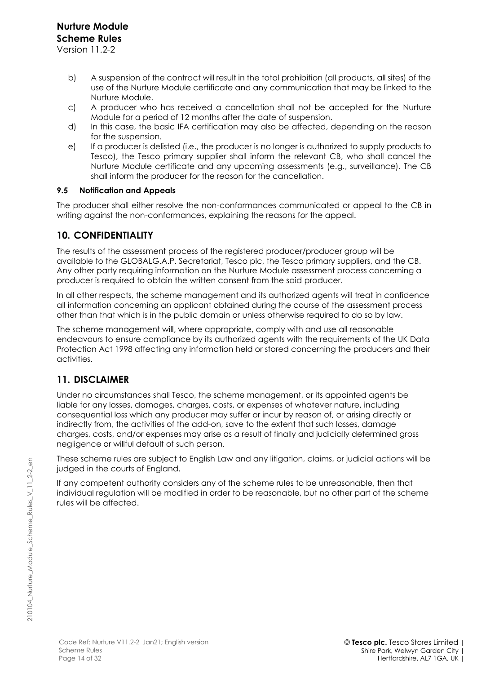Version 11.2-2

- b) A suspension of the contract will result in the total prohibition (all products, all sites) of the use of the Nurture Module certificate and any communication that may be linked to the Nurture Module.
- c) A producer who has received a cancellation shall not be accepted for the Nurture Module for a period of 12 months after the date of suspension.
- d) In this case, the basic IFA certification may also be affected, depending on the reason for the suspension.
- e) If a producer is delisted (i.e., the producer is no longer is authorized to supply products to Tesco), the Tesco primary supplier shall inform the relevant CB, who shall cancel the Nurture Module certificate and any upcoming assessments (e.g., surveillance). The CB shall inform the producer for the reason for the cancellation.

### **9.5 Notification and Appeals**

The producer shall either resolve the non-conformances communicated or appeal to the CB in writing against the non-conformances, explaining the reasons for the appeal.

# **10. CONFIDENTIALITY**

The results of the assessment process of the registered producer/producer group will be available to the GLOBALG.A.P. Secretariat, Tesco plc, the Tesco primary suppliers, and the CB. Any other party requiring information on the Nurture Module assessment process concerning a producer is required to obtain the written consent from the said producer.

In all other respects, the scheme management and its authorized agents will treat in confidence all information concerning an applicant obtained during the course of the assessment process other than that which is in the public domain or unless otherwise required to do so by law.

The scheme management will, where appropriate, comply with and use all reasonable endeavours to ensure compliance by its authorized agents with the requirements of the UK Data Protection Act 1998 affecting any information held or stored concerning the producers and their activities.

# **11. DISCLAIMER**

Under no circumstances shall Tesco, the scheme management, or its appointed agents be liable for any losses, damages, charges, costs, or expenses of whatever nature, including consequential loss which any producer may suffer or incur by reason of, or arising directly or indirectly from, the activities of the add-on, save to the extent that such losses, damage charges, costs, and/or expenses may arise as a result of finally and judicially determined gross negligence or willful default of such person.

These scheme rules are subject to English Law and any litigation, claims, or judicial actions will be judged in the courts of England.

If any competent authority considers any of the scheme rules to be unreasonable, then that individual regulation will be modified in order to be reasonable, but no other part of the scheme rules will be affected.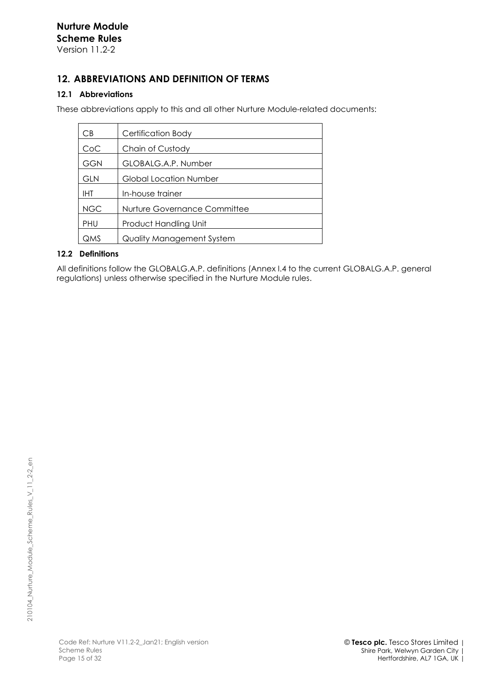# **12. ABBREVIATIONS AND DEFINITION OF TERMS**

# **12.1 Abbreviations**

These abbreviations apply to this and all other Nurture Module-related documents:

| CВ         | <b>Certification Body</b>    |
|------------|------------------------------|
| CoC        | Chain of Custody             |
| <b>GGN</b> | GLOBALG.A.P. Number          |
| <b>GLN</b> | Global Location Number       |
| IHT        | In-house trainer             |
| <b>NGC</b> | Nurture Governance Committee |
| <b>PHU</b> | Product Handling Unit        |
| QMS        | Quality Management System    |

# **12.2 Definitions**

All definitions follow the GLOBALG.A.P. definitions (Annex I.4 to the current GLOBALG.A.P. general regulations) unless otherwise specified in the Nurture Module rules.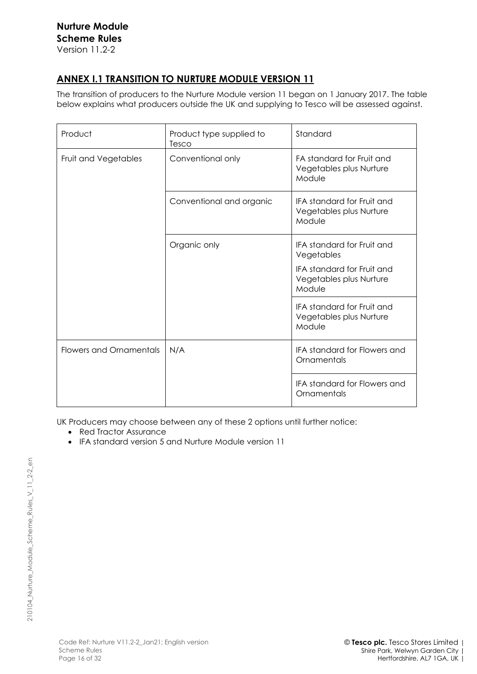# **ANNEX I.1 TRANSITION TO NURTURE MODULE VERSION 11**

The transition of producers to the Nurture Module version 11 began on 1 January 2017. The table below explains what producers outside the UK and supplying to Tesco will be assessed against.

| Product                        | Product type supplied to<br>Tesco | Standard                                                               |
|--------------------------------|-----------------------------------|------------------------------------------------------------------------|
| Fruit and Vegetables           | Conventional only                 | FA standard for Fruit and<br>Vegetables plus Nurture<br>Module         |
|                                | Conventional and organic          | <b>IFA standard for Fruit and</b><br>Vegetables plus Nurture<br>Module |
|                                | Organic only                      | <b>IFA standard for Fruit and</b><br>Vegetables                        |
|                                |                                   | <b>IFA standard for Fruit and</b><br>Vegetables plus Nurture<br>Module |
|                                |                                   | <b>IFA standard for Fruit and</b><br>Vegetables plus Nurture<br>Module |
| <b>Flowers and Ornamentals</b> | N/A                               | <b>IFA standard for Flowers and</b><br>Ornamentals                     |
|                                |                                   | <b>IFA standard for Flowers and</b><br>Ornamentals                     |

UK Producers may choose between any of these 2 options until further notice:

- Red Tractor Assurance
- IFA standard version 5 and Nurture Module version 11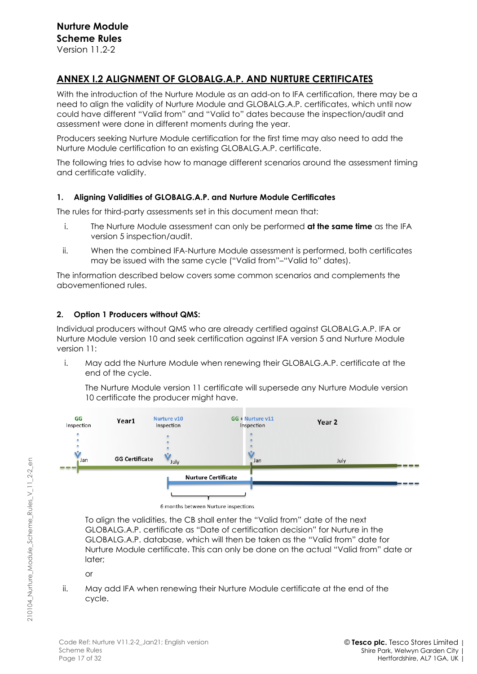# **ANNEX I.2 ALIGNMENT OF GLOBALG.A.P. AND NURTURE CERTIFICATES**

With the introduction of the Nurture Module as an add-on to IFA certification, there may be a need to align the validity of Nurture Module and GLOBALG.A.P. certificates, which until now could have different "Valid from" and "Valid to" dates because the inspection/audit and assessment were done in different moments during the year.

Producers seeking Nurture Module certification for the first time may also need to add the Nurture Module certification to an existing GLOBALG.A.P. certificate.

The following tries to advise how to manage different scenarios around the assessment timing and certificate validity.

### **1. Aligning Validities of GLOBALG.A.P. and Nurture Module Certificates**

The rules for third-party assessments set in this document mean that:

- i. The Nurture Module assessment can only be performed **at the same time** as the IFA version 5 inspection/audit.
- ii. When the combined IFA-Nurture Module assessment is performed, both certificates may be issued with the same cycle ("Valid from"–"Valid to" dates).

The information described below covers some common scenarios and complements the abovementioned rules.

# **2. Option 1 Producers without QMS:**

Individual producers without QMS who are already certified against GLOBALG.A.P. IFA or Nurture Module version 10 and seek certification against IFA version 5 and Nurture Module version 11:

i. May add the Nurture Module when renewing their GLOBALG.A.P. certificate at the end of the cycle.

The Nurture Module version 11 certificate will supersede any Nurture Module version 10 certificate the producer might have.



6 months between Nurture inspections

To align the validities, the CB shall enter the "Valid from" date of the next GLOBALG.A.P. certificate as "Date of certification decision" for Nurture in the GLOBALG.A.P. database, which will then be taken as the "Valid from" date for Nurture Module certificate. This can only be done on the actual "Valid from" date or later;

or

ii. May add IFA when renewing their Nurture Module certificate at the end of the cycle.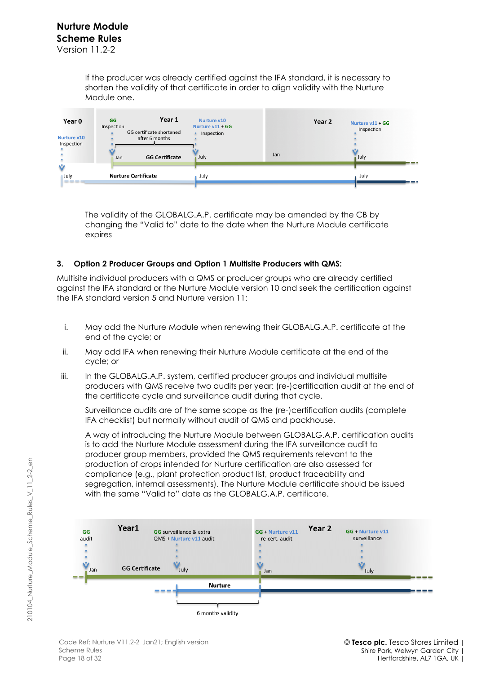If the producer was already certified against the IFA standard, it is necessary to shorten the validity of that certificate in order to align validity with the Nurture Module one.

| Year 0<br>Nurture v10<br>Inspection | GG<br>Inspection<br>Jan    | Year 1<br>GG certificate shortened<br>after 6 months<br><b>GG Certificate</b> | Nurture y10<br>Nurture $v11 + GG$<br>Inspection<br>July | Jan | Year 2 | Nurture v11 + GG<br>Inspection<br>July | -- |
|-------------------------------------|----------------------------|-------------------------------------------------------------------------------|---------------------------------------------------------|-----|--------|----------------------------------------|----|
| Ŵ<br>July<br>----                   | <b>Nurture Certificate</b> |                                                                               | July                                                    |     |        | July                                   | -- |

The validity of the GLOBALG.A.P. certificate may be amended by the CB by changing the "Valid to" date to the date when the Nurture Module certificate expires

### **3. Option 2 Producer Groups and Option 1 Multisite Producers with QMS:**

Multisite individual producers with a QMS or producer groups who are already certified against the IFA standard or the Nurture Module version 10 and seek the certification against the IFA standard version 5 and Nurture version 11:

- i. May add the Nurture Module when renewing their GLOBALG.A.P. certificate at the end of the cycle; or
- ii. May add IFA when renewing their Nurture Module certificate at the end of the cycle; or
- iii. In the GLOBALG.A.P. system, certified producer groups and individual multisite producers with QMS receive two audits per year: (re-)certification audit at the end of the certificate cycle and surveillance audit during that cycle.

Surveillance audits are of the same scope as the (re-)certification audits (complete IFA checklist) but normally without audit of QMS and packhouse.

A way of introducing the Nurture Module between GLOBALG.A.P. certification audits is to add the Nurture Module assessment during the IFA surveillance audit to producer group members, provided the QMS requirements relevant to the production of crops intended for Nurture certification are also assessed for compliance (e.g., plant protection product list, product traceability and segregation, internal assessments). The Nurture Module certificate should be issued with the same "Valid to" date as the GLOBALG.A.P. certificate.



210104\_Nurture\_Module\_Scheme\_Rules\_V\_11\_2-2\_en

210104 Nurture Module Scheme Rules V 11 2-2 en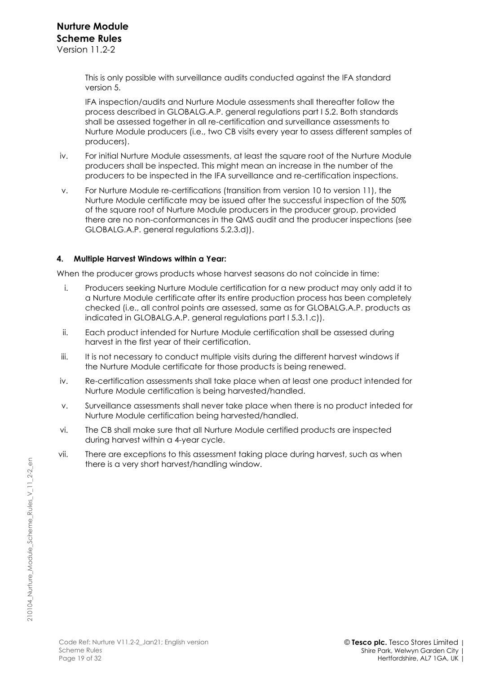This is only possible with surveillance audits conducted against the IFA standard version 5.

IFA inspection/audits and Nurture Module assessments shall thereafter follow the process described in GLOBALG.A.P. general regulations part I 5.2. Both standards shall be assessed together in all re-certification and surveillance assessments to Nurture Module producers (i.e., two CB visits every year to assess different samples of producers).

- iv. For initial Nurture Module assessments, at least the square root of the Nurture Module producers shall be inspected. This might mean an increase in the number of the producers to be inspected in the IFA surveillance and re-certification inspections.
- v. For Nurture Module re-certifications (transition from version 10 to version 11), the Nurture Module certificate may be issued after the successful inspection of the 50% of the square root of Nurture Module producers in the producer group, provided there are no non-conformances in the QMS audit and the producer inspections (see GLOBALG.A.P. general regulations 5.2.3.d)).

### **4. Multiple Harvest Windows within a Year:**

When the producer grows products whose harvest seasons do not coincide in time:

- i. Producers seeking Nurture Module certification for a new product may only add it to a Nurture Module certificate after its entire production process has been completely checked (i.e., all control points are assessed, same as for GLOBALG.A.P. products as indicated in GLOBALG.A.P. general regulations part I 5.3.1.c)).
- ii. Each product intended for Nurture Module certification shall be assessed during harvest in the first year of their certification.
- iii. It is not necessary to conduct multiple visits during the different harvest windows if the Nurture Module certificate for those products is being renewed.
- iv. Re-certification assessments shall take place when at least one product intended for Nurture Module certification is being harvested/handled.
- v. Surveillance assessments shall never take place when there is no product inteded for Nurture Module certification being harvested/handled.
- vi. The CB shall make sure that all Nurture Module certified products are inspected during harvest within a 4-year cycle.
- vii. There are exceptions to this assessment taking place during harvest, such as when there is a very short harvest/handling window.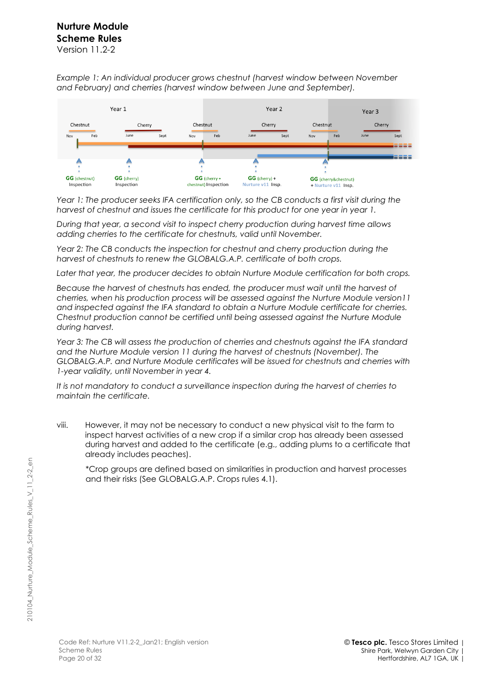# **Nurture Module Scheme Rules** Version 11.2-2

*Example 1: An individual producer grows chestnut (harvest window between November and February) and cherries (harvest window between June and September).* 



*Year 1: The producer seeks IFA certification only, so the CB conducts a first visit during the harvest of chestnut and issues the certificate for this product for one year in year 1.* 

*During that year, a second visit to inspect cherry production during harvest time allows adding cherries to the certificate for chestnuts, valid until November.*

*Year 2: The CB conducts the inspection for chestnut and cherry production during the harvest of chestnuts to renew the GLOBALG.A.P. certificate of both crops.* 

*Later that year, the producer decides to obtain Nurture Module certification for both crops.* 

*Because the harvest of chestnuts has ended, the producer must wait until the harvest of cherries, when his production process will be assessed against the Nurture Module version11 and inspected against the IFA standard to obtain a Nurture Module certificate for cherries. Chestnut production cannot be certified until being assessed against the Nurture Module during harvest.* 

*Year 3: The CB will assess the production of cherries and chestnuts against the IFA standard and the Nurture Module version 11 during the harvest of chestnuts (November). The GLOBALG.A.P. and Nurture Module certificates will be issued for chestnuts and cherries with 1-year validity, until November in year 4.* 

*It is not mandatory to conduct a surveillance inspection during the harvest of cherries to maintain the certificate.* 

viii. However, it may not be necessary to conduct a new physical visit to the farm to inspect harvest activities of a new crop if a similar crop has already been assessed during harvest and added to the certificate (e.g., adding plums to a certificate that already includes peaches).

\*Crop groups are defined based on similarities in production and harvest processes and their risks (See GLOBALG.A.P. Crops rules 4.1).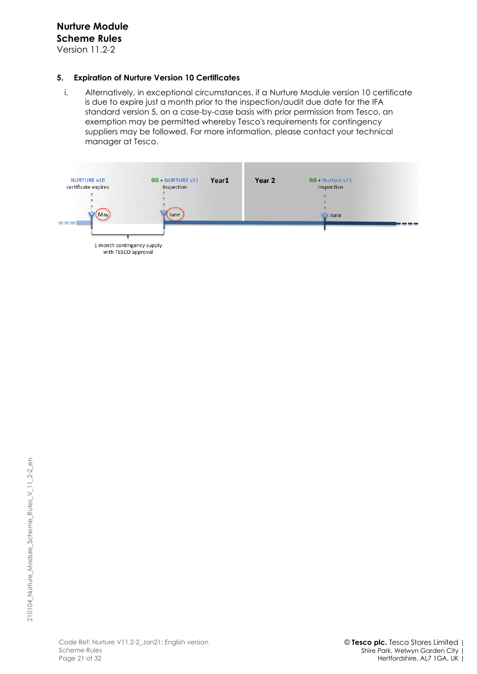Version 11.2-2

### **5. Expiration of Nurture Version 10 Certificates**

i. Alternatively, in exceptional circumstances, if a Nurture Module version 10 certificate is due to expire just a month prior to the inspection/audit due date for the IFA standard version 5, on a case-by-case basis with prior permission from Tesco, an exemption may be permitted whereby Tesco's requirements for contingency suppliers may be followed. For more information, please contact your technical manager at Tesco.

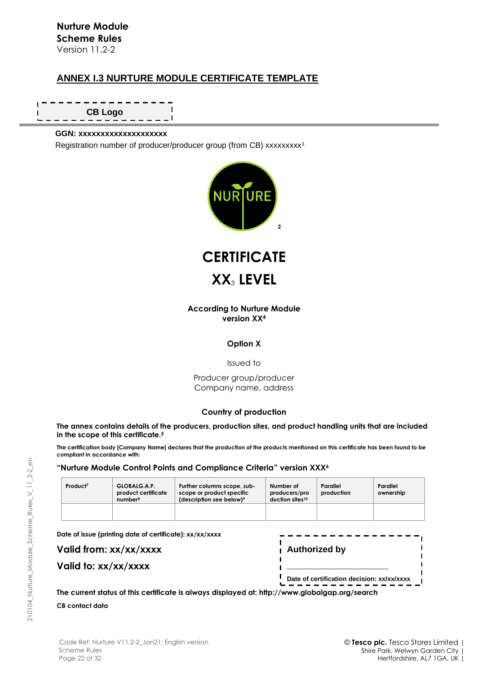# **ANNEX I.3 NURTURE MODULE CERTIFICATE TEMPLATE**

J. **CB Logo I** 

#### **GGN: xxxxxxxxxxxxxxxxxxxx**

Registration number of producer/producer group (from CB) xxxxxxxx<sup>1</sup>





#### **According to Nurture Module version XX<sup>4</sup>**

#### **Option X**

Issued to

Producer group/producer Company name, address

#### **Country of production**

The annex contains details of the producers, production sites, and product handling units that are included **in the scope of this certificate.<sup>5</sup>**

The certification body [Company Name] declares that the production of the products mentioned on this certificate has been found to be **compliant in accordance with:** 

#### **"Nurture Module Control Points and Compliance Criteria" version XXX<sup>6</sup>**

| Product <sup>7</sup> | GLOBALG.A.P.<br>product certificate<br>number <sup>8</sup> | Further columns scope, sub-<br>scope or product specific<br>(description see below) <sup>9</sup> | Number of<br>producers/pro<br>duction sites10 | Parallel<br>production | Parallel<br>ownership |
|----------------------|------------------------------------------------------------|--------------------------------------------------------------------------------------------------|-----------------------------------------------|------------------------|-----------------------|
|                      |                                                            |                                                                                                  |                                               |                        |                       |

**Date of issue (printing date of certificate): xx/xx/xxxx**

**Valid from: xx/xx/xxxx**

|  |  | Valid to: xx/xx/xxxx |  |
|--|--|----------------------|--|
|--|--|----------------------|--|

| Authorized by                                     |  |
|---------------------------------------------------|--|
| Date of certification decision: xx/xx/xxxx<br>. . |  |

**The current status of this certificate is always displayed at: http://www.globalgap.org/search CB contact data**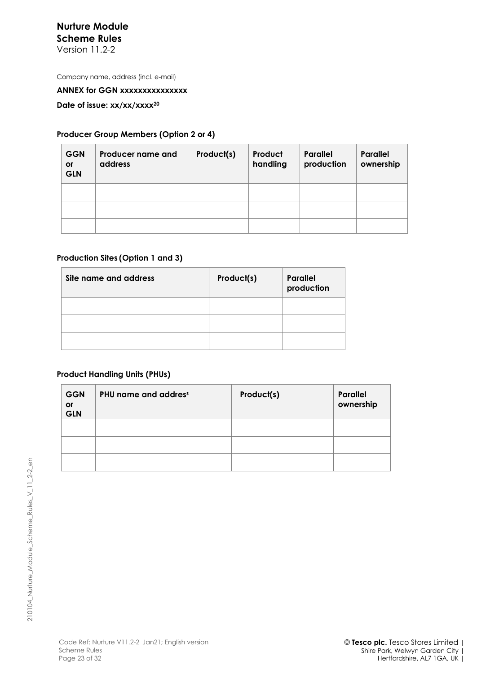Version 11.2-2

Company name, address (incl. e-mail)

#### **ANNEX for GGN xxxxxxxxxxxxxxx**

**Date of issue: xx/xx/xxxx<sup>20</sup>**

### **Producer Group Members (Option 2 or 4)**

| <b>GGN</b><br><b>or</b><br><b>GLN</b> | Producer name and<br>address | Product(s) | Product<br>handling | <b>Parallel</b><br>production | Parallel<br>ownership |
|---------------------------------------|------------------------------|------------|---------------------|-------------------------------|-----------------------|
|                                       |                              |            |                     |                               |                       |
|                                       |                              |            |                     |                               |                       |
|                                       |                              |            |                     |                               |                       |

### **Production Sites (Option 1 and 3)**

| Site name and address | Product(s) | <b>Parallel</b><br>production |
|-----------------------|------------|-------------------------------|
|                       |            |                               |
|                       |            |                               |
|                       |            |                               |

### **Product Handling Units (PHUs)**

| <b>GGN</b><br>or<br><b>GLN</b> | PHU name and address | Product(s) | <b>Parallel</b><br>ownership |
|--------------------------------|----------------------|------------|------------------------------|
|                                |                      |            |                              |
|                                |                      |            |                              |
|                                |                      |            |                              |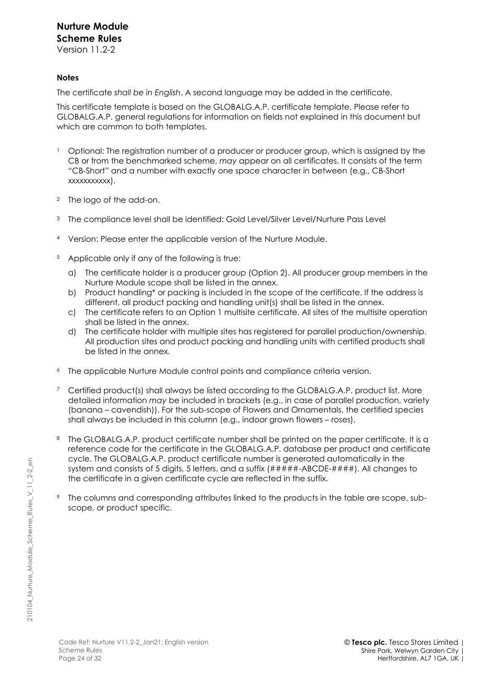Version 11.2-2

# **Notes**

The certificate *shall be in English*. A second language may be added in the certificate.

This certificate template is based on the GLOBALG.A.P. certificate template. Please refer to GLOBALG.A.P. general regulations for information on fields not explained in this document but which are common to both templates.

- Optional: The registration number of a producer or producer group, which is assigned by the CB or from the benchmarked scheme, *may* appear on all certificates. It consists of the term "CB-Short" and a number with exactly one space character in between (e.g., CB-Short xxxxxxxxxxx).
- <sup>2</sup> The logo of the add-on.
- <sup>3</sup> The compliance level shall be identified: Gold Level/Silver Level/Nurture Pass Level
- <sup>4</sup> Version: Please enter the applicable version of the Nurture Module.
- <sup>5</sup> Applicable only if any of the following is true:
	- a) The certificate holder is a producer group (Option 2). All producer group members in the Nurture Module scope shall be listed in the annex.
	- b) Product handling\* or packing is included in the scope of the certificate. If the address is different, all product packing and handling unit(s) shall be listed in the annex.
	- c) The certificate refers to an Option 1 multisite certificate. All sites of the multisite operation shall be listed in the annex.
	- d) The certificate holder with multiple sites has registered for parallel production/ownership. All production sites and product packing and handling units with certified products shall be listed in the annex.
- The applicable Nurture Module control points and compliance criteria version.
- <sup>7</sup> Certified product(s) shall always be listed according to the GLOBALG.A.P. product list. More detailed information *may* be included in brackets (e.g., in case of parallel production, variety (banana – cavendish)). For the sub-scope of Flowers and Ornamentals, the certified species shall always be included in this column (e.g., indoor grown flowers – roses).
- <sup>8</sup> The GLOBALG.A.P. product certificate number shall be printed on the paper certificate. It is a reference code for the certificate in the GLOBALG.A.P. database per product and certificate cycle. The GLOBALG.A.P. product certificate number is generated automatically in the system and consists of 5 digits, 5 letters, and a suffix (#####-ABCDE-####). All changes to the certificate in a given certificate cycle are reflected in the suffix.
- The columns and corresponding attributes linked to the products in the table are scope, subscope, or product specific.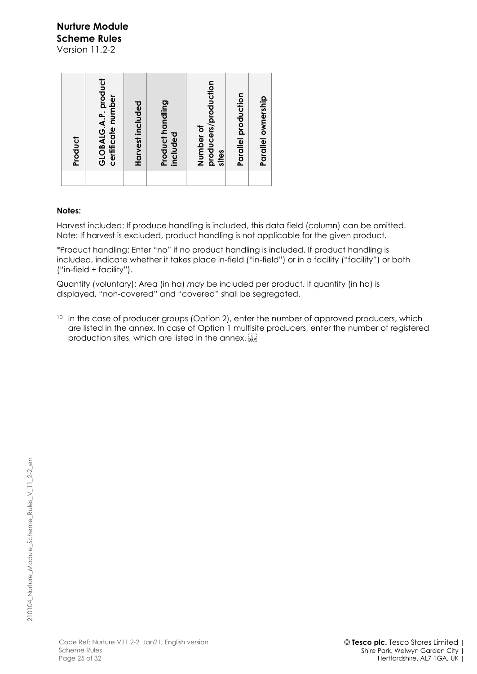Version 11.2-2

#### **Notes:**

Harvest included: If produce handling is included, this data field (column) can be omitted. Note: If harvest is excluded, product handling is not applicable for the given product.

\*Product handling: Enter "no" if no product handling is included. If product handling is included, indicate whether it takes place in-field ("in-field") or in a facility ("facility") or both ("in-field + facility").

Quantity (voluntary): Area (in ha) *may* be included per product. If quantity (in ha) is displayed, "non-covered" and "covered" shall be segregated.

<sup>10</sup> In the case of producer groups (Option 2), enter the number of approved producers, which are listed in the annex. In case of Option 1 multisite producers, enter the number of registered production sites, which are listed in the annex. [1]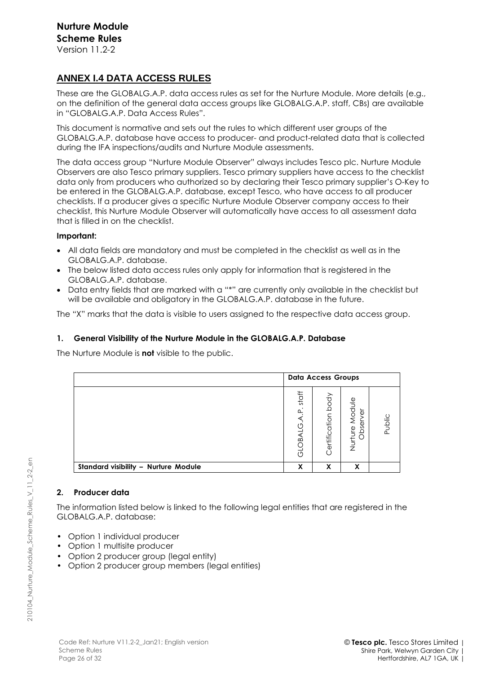# **ANNEX I.4 DATA ACCESS RULES**

These are the GLOBALG.A.P. data access rules as set for the Nurture Module. More details (e.g., on the definition of the general data access groups like GLOBALG.A.P. staff, CBs) are available in "GLOBALG.A.P. Data Access Rules".

This document is normative and sets out the rules to which different user groups of the GLOBALG.A.P. database have access to producer- and product-related data that is collected during the IFA inspections/audits and Nurture Module assessments.

The data access group "Nurture Module Observer" always includes Tesco plc. Nurture Module Observers are also Tesco primary suppliers. Tesco primary suppliers have access to the checklist data only from producers who authorized so by declaring their Tesco primary supplier's O-Key to be entered in the GLOBALG.A.P. database, except Tesco, who have access to all producer checklists. If a producer gives a specific Nurture Module Observer company access to their checklist, this Nurture Module Observer will automatically have access to all assessment data that is filled in on the checklist.

### **Important:**

- All data fields are mandatory and must be completed in the checklist as well as in the GLOBALG.A.P. database.
- The below listed data access rules only apply for information that is registered in the GLOBALG.A.P. database.
- Data entry fields that are marked with a "\*" are currently only available in the checklist but will be available and obligatory in the GLOBALG.A.P. database in the future.

The "X" marks that the data is visible to users assigned to the respective data access group.

# **1. General Visibility of the Nurture Module in the GLOBALG.A.P. Database**

The Nurture Module is **not** visible to the public.

|                                      | <b>Data Access Groups</b>                           |                       |                                                            |        |
|--------------------------------------|-----------------------------------------------------|-----------------------|------------------------------------------------------------|--------|
|                                      | staff<br>$\bullet$<br>$\overline{a}$<br>Q<br>GLOBAL | body<br>Certification | Module<br>$\overleftarrow{\mathbb{O}}$<br>Obser<br>Nurture | Public |
| Standard visibility - Nurture Module | X                                                   | X                     | X                                                          |        |

### **2. Producer data**

The information listed below is linked to the following legal entities that are registered in the GLOBALG.A.P. database:

- Option 1 individual producer
- Option 1 multisite producer
- Option 2 producer group (legal entity)
- Option 2 producer group members (legal entities)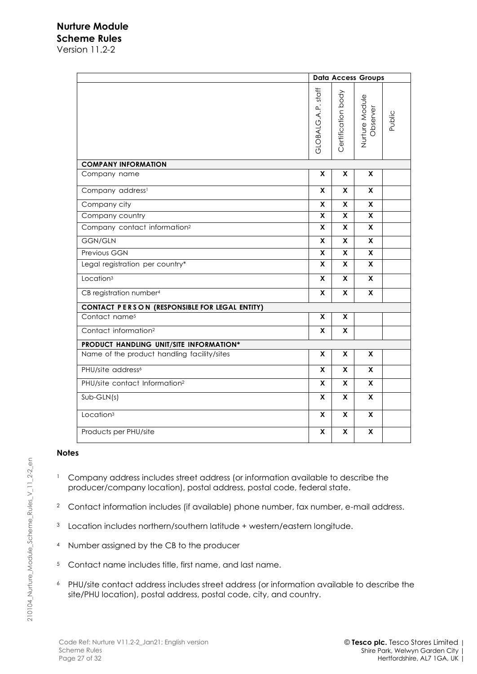Version 11.2-2

|                                               | <b>Data Access Groups</b> |                    |                            |        |  |  |  |
|-----------------------------------------------|---------------------------|--------------------|----------------------------|--------|--|--|--|
|                                               | GLOBALG.A.P. staff        | Certification body | Nurture Module<br>Observer | Public |  |  |  |
| <b>COMPANY INFORMATION</b>                    |                           |                    |                            |        |  |  |  |
| Company name                                  | X                         | X                  | X                          |        |  |  |  |
| Company address <sup>1</sup>                  | X.                        | <b>X</b>           | X                          |        |  |  |  |
| Company city                                  | X                         | X                  | X                          |        |  |  |  |
| Company country                               | X                         | X                  | X                          |        |  |  |  |
| Company contact information <sup>2</sup>      | X                         | X                  | X                          |        |  |  |  |
| <b>GGN/GLN</b>                                | $\mathsf{x}$              | X                  | X                          |        |  |  |  |
| Previous GGN                                  | X                         | X                  | X                          |        |  |  |  |
| Legal registration per country*               | X                         | X                  | X                          |        |  |  |  |
| Location <sup>3</sup>                         | X                         | X                  | X                          |        |  |  |  |
| CB registration number <sup>4</sup>           | X                         | X                  | X                          |        |  |  |  |
| CONTACT PERSON (RESPONSIBLE FOR LEGAL ENTITY) |                           |                    |                            |        |  |  |  |
| Contact name <sup>5</sup>                     | X                         | X                  |                            |        |  |  |  |
| Contact information <sup>2</sup>              | X                         | X                  |                            |        |  |  |  |
| PRODUCT HANDLING UNIT/SITE INFORMATION*       |                           |                    |                            |        |  |  |  |
| Name of the product handling facility/sites   | X                         | X                  | X                          |        |  |  |  |
| PHU/site address <sup>6</sup>                 | X                         | X                  | X                          |        |  |  |  |
| PHU/site contact Information <sup>2</sup>     | X.                        | x                  | X                          |        |  |  |  |
| $Sub-GLN(s)$                                  | X                         | X                  | X                          |        |  |  |  |
| Location <sup>3</sup>                         | X                         | X                  | X                          |        |  |  |  |
| Products per PHU/site                         | X                         | X                  | $\pmb{\mathsf{X}}$         |        |  |  |  |

### **Notes**

- <sup>1</sup> Company address includes street address (or information available to describe the producer/company location), postal address, postal code, federal state.
- <sup>2</sup> Contact information includes (if available) phone number, fax number, e-mail address.
- <sup>3</sup> Location includes northern/southern latitude + western/eastern longitude.
- <sup>4</sup> Number assigned by the CB to the producer
- <sup>5</sup> Contact name includes title, first name, and last name.
- <sup>6</sup> PHU/site contact address includes street address (or information available to describe the site/PHU location), postal address, postal code, city, and country.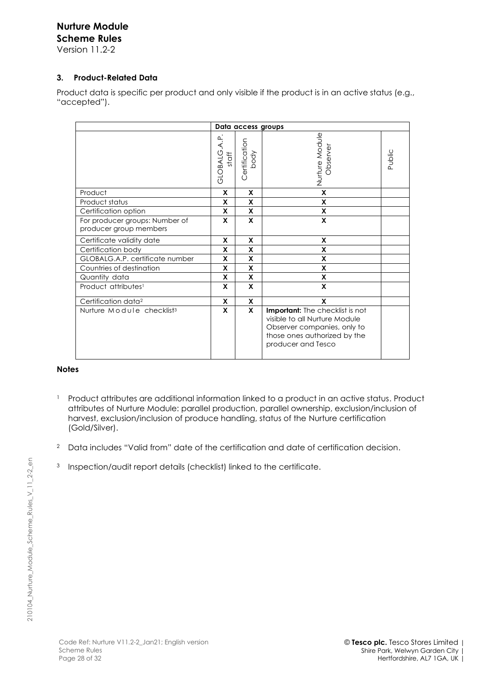Version 11.2-2

# **3. Product-Related Data**

Product data is specific per product and only visible if the product is in an active status (e.g., "accepted").

| Data access groups                                       |                      |                       |                                                                                                                                                              |        |  |
|----------------------------------------------------------|----------------------|-----------------------|--------------------------------------------------------------------------------------------------------------------------------------------------------------|--------|--|
|                                                          | GLOBALG.A.P<br>staff | Certification<br>Apoq | Nurture Module<br>Observe                                                                                                                                    | Public |  |
| Product                                                  | X                    | X                     | X                                                                                                                                                            |        |  |
| Product status                                           | X                    | X                     | X                                                                                                                                                            |        |  |
| Certification option                                     | X                    | X                     | X                                                                                                                                                            |        |  |
| For producer groups: Number of<br>producer group members | X                    | X                     | X                                                                                                                                                            |        |  |
| Certificate validity date                                | X                    | X                     | X                                                                                                                                                            |        |  |
| Certification body                                       | X                    | X                     | X                                                                                                                                                            |        |  |
| GLOBALG.A.P. certificate number                          | X                    | X                     | X                                                                                                                                                            |        |  |
| Countries of destination                                 | X                    | X                     | X                                                                                                                                                            |        |  |
| Quantity data                                            | X                    | X                     | X                                                                                                                                                            |        |  |
| Product attributes <sup>1</sup>                          | X                    | X                     | X                                                                                                                                                            |        |  |
| Certification data <sup>2</sup>                          | X                    | X                     | X                                                                                                                                                            |        |  |
| Nurture Module checklist <sup>3</sup>                    | X                    | $\mathsf{x}$          | <b>Important:</b> The checklist is not<br>visible to all Nurture Module<br>Observer companies, only to<br>those ones authorized by the<br>producer and Tesco |        |  |

#### **Notes**

- <sup>1</sup> Product attributes are additional information linked to a product in an active status. Product attributes of Nurture Module: parallel production, parallel ownership, exclusion/inclusion of harvest, exclusion/inclusion of produce handling, status of the Nurture certification (Gold/Silver).
- <sup>2</sup> Data includes "Valid from" date of the certification and date of certification decision.
- <sup>3</sup> Inspection/audit report details (checklist) linked to the certificate.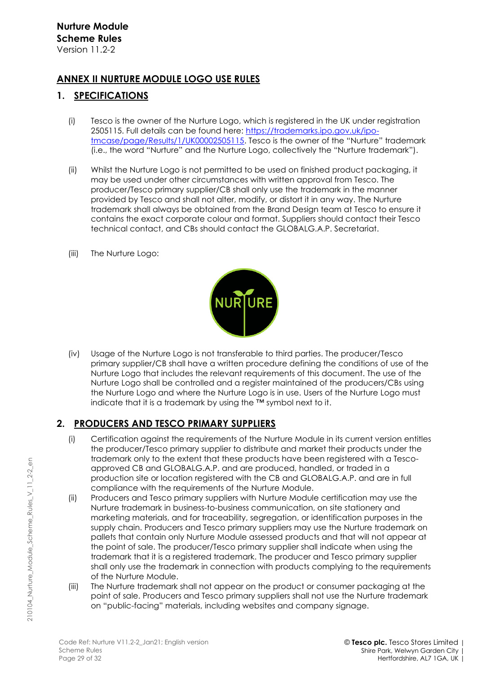# **ANNEX II NURTURE MODULE LOGO USE RULES**

# **1. SPECIFICATIONS**

- (i) Tesco is the owner of the Nurture Logo, which is registered in the UK under registration 2505115. Full details can be found here: [https://trademarks.ipo.gov.uk/ipo](https://trademarks.ipo.gov.uk/ipo-tmcase/page/Results/1/UK00002505115)[tmcase/page/Results/1/UK00002505115.](https://trademarks.ipo.gov.uk/ipo-tmcase/page/Results/1/UK00002505115) Tesco is the owner of the "Nurture" trademark (i.e., the word "Nurture" and the Nurture Logo, collectively the "Nurture trademark").
- (ii) Whilst the Nurture Logo is not permitted to be used on finished product packaging, it may be used under other circumstances with written approval from Tesco. The producer/Tesco primary supplier/CB shall only use the trademark in the manner provided by Tesco and shall not alter, modify, or distort it in any way. The Nurture trademark shall always be obtained from the Brand Design team at Tesco to ensure it contains the exact corporate colour and format. Suppliers should contact their Tesco technical contact, and CBs should contact the GLOBALG.A.P. Secretariat.
- (iii) The Nurture Logo:



(iv) Usage of the Nurture Logo is not transferable to third parties. The producer/Tesco primary supplier/CB shall have a written procedure defining the conditions of use of the Nurture Logo that includes the relevant requirements of this document. The use of the Nurture Logo shall be controlled and a register maintained of the producers/CBs using the Nurture Logo and where the Nurture Logo is in use. Users of the Nurture Logo must indicate that it is a trademark by using the ™ symbol next to it.

# **2. PRODUCERS AND TESCO PRIMARY SUPPLIERS**

- (i) Certification against the requirements of the Nurture Module in its current version entitles the producer/Tesco primary supplier to distribute and market their products under the trademark only to the extent that these products have been registered with a Tescoapproved CB and GLOBALG.A.P. and are produced, handled, or traded in a production site or location registered with the CB and GLOBALG.A.P. and are in full compliance with the requirements of the Nurture Module.
- (ii) Producers and Tesco primary suppliers with Nurture Module certification may use the Nurture trademark in business-to-business communication, on site stationery and marketing materials, and for traceability, segregation, or identification purposes in the supply chain. Producers and Tesco primary suppliers may use the Nurture trademark on pallets that contain only Nurture Module assessed products and that will not appear at the point of sale. The producer/Tesco primary supplier shall indicate when using the trademark that it is a registered trademark. The producer and Tesco primary supplier shall only use the trademark in connection with products complying to the requirements of the Nurture Module.
- (iii) The Nurture trademark shall not appear on the product or consumer packaging at the point of sale. Producers and Tesco primary suppliers shall not use the Nurture trademark on "public-facing" materials, including websites and company signage.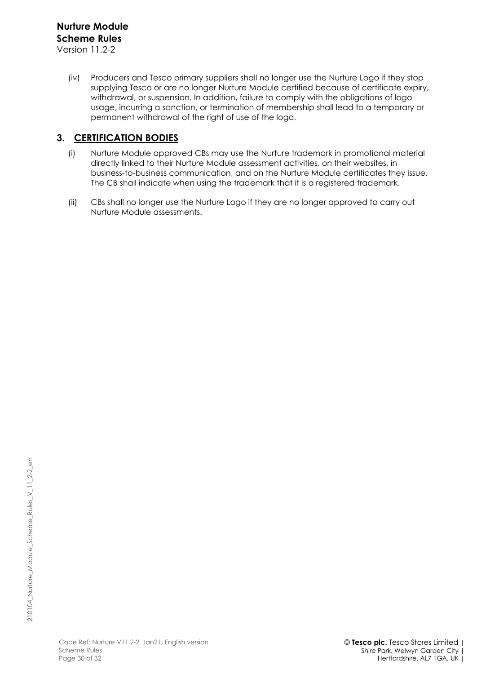(iv) Producers and Tesco primary suppliers shall no longer use the Nurture Logo if they stop supplying Tesco or are no longer Nurture Module certified because of certificate expiry, withdrawal, or suspension. In addition, failure to comply with the obligations of logo usage, incurring a sanction, or termination of membership shall lead to a temporary or permanent withdrawal of the right of use of the logo.

# **3. CERTIFICATION BODIES**

- (i) Nurture Module approved CBs may use the Nurture trademark in promotional material directly linked to their Nurture Module assessment activities, on their websites, in business-to-business communication, and on the Nurture Module certificates they issue. The CB shall indicate when using the trademark that it is a registered trademark.
- (ii) CBs shall no longer use the Nurture Logo if they are no longer approved to carry out Nurture Module assessments.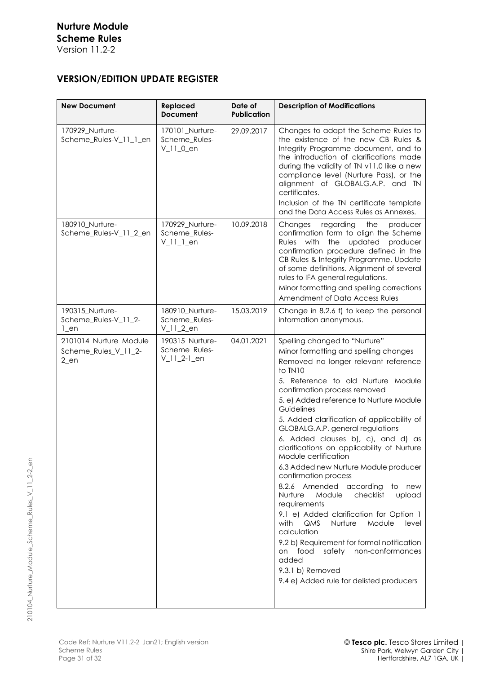# **VERSION/EDITION UPDATE REGISTER**

| <b>New Document</b>                                       | Replaced<br><b>Document</b>                         | Date of<br><b>Publication</b> | <b>Description of Modifications</b>                                                                                                                                                                                                                                                                                                                                                                                                                                                                                                                                                                                                                                                                                                                                                                                                                                                                    |
|-----------------------------------------------------------|-----------------------------------------------------|-------------------------------|--------------------------------------------------------------------------------------------------------------------------------------------------------------------------------------------------------------------------------------------------------------------------------------------------------------------------------------------------------------------------------------------------------------------------------------------------------------------------------------------------------------------------------------------------------------------------------------------------------------------------------------------------------------------------------------------------------------------------------------------------------------------------------------------------------------------------------------------------------------------------------------------------------|
| 170929_Nurture-<br>Scheme_Rules-V_11_1_en                 | 170101_Nurture-<br>Scheme Rules-<br>$V_l1_l_0_{en}$ | 29.09.2017                    | Changes to adapt the Scheme Rules to<br>the existence of the new CB Rules &<br>Integrity Programme document, and to<br>the introduction of clarifications made<br>during the validity of TN v11.0 like a new<br>compliance level (Nurture Pass), or the<br>alignment of GLOBALG.A.P. and TN<br>certificates.<br>Inclusion of the TN certificate template<br>and the Data Access Rules as Annexes.                                                                                                                                                                                                                                                                                                                                                                                                                                                                                                      |
| 180910_Nurture-<br>Scheme_Rules-V_11_2_en                 | 170929_Nurture-<br>Scheme_Rules-<br>$V_l_l_l$ _en   | 10.09.2018                    | Changes<br>regarding<br>the<br>producer<br>confirmation form to align the Scheme<br><b>Rules</b><br>with<br>the<br>updated<br>producer<br>confirmation procedure defined in the<br>CB Rules & Integrity Programme. Update<br>of some definitions. Alignment of several<br>rules to IFA general regulations.<br>Minor formatting and spelling corrections<br>Amendment of Data Access Rules                                                                                                                                                                                                                                                                                                                                                                                                                                                                                                             |
| 190315 Nurture-<br>Scheme_Rules-V_11_2-<br>$1$ _en        | 180910_Nurture-<br>Scheme_Rules-<br>$V_l1_l_2$ en   | 15.03.2019                    | Change in 8.2.6 f) to keep the personal<br>information anonymous.                                                                                                                                                                                                                                                                                                                                                                                                                                                                                                                                                                                                                                                                                                                                                                                                                                      |
| 2101014_Nurture_Module_<br>Scheme_Rules_V_11_2-<br>$2$ en | 190315_Nurture-<br>Scheme_Rules-<br>$V_l1_l_2-l_en$ | 04.01.2021                    | Spelling changed to "Nurture"<br>Minor formatting and spelling changes<br>Removed no longer relevant reference<br>to TN10<br>5. Reference to old Nurture Module<br>confirmation process removed<br>5. e) Added reference to Nurture Module<br>Guidelines<br>5. Added clarification of applicability of<br>GLOBALG.A.P. general regulations<br>6. Added clauses b), c), and d) as<br>clarifications on applicability of Nurture<br>Module certification<br>6.3 Added new Nurture Module producer<br>confirmation process<br>8.2.6 Amended according<br>to new<br>Module<br>checklist<br>Nurture<br>upload<br>requirements<br>9.1 e) Added clarification for Option 1<br><b>QMS</b><br>Nurture<br>with<br>Module<br>level<br>calculation<br>9.2 b) Requirement for formal notification<br>safety non-conformances<br>food<br>on<br>added<br>9.3.1 b) Removed<br>9.4 e) Added rule for delisted producers |